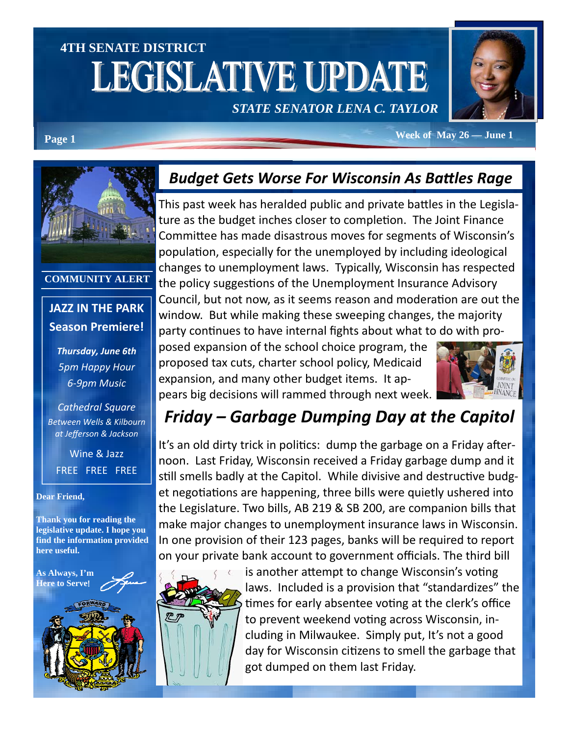# **4TH SENATE DISTRICT**  LEGISLATIVE UPDATE

*STATE SENATOR LENA C. TAYLOR* 



Page 1 **Week of May 26 — June 1** 



#### **COMMUNITY ALERT**

### **JAZZ IN THE PARK Season Premiere!**

*Thursday, June 6th 5pm Happy Hour 6-9pm Music* 

*Cathedral Square Between Wells & Kilbourn at Jefferson & Jackson* 

Wine & Jazz FREE FREE FREE

#### **Dear Friend,**

**Thank you for reading the legislative update. I hope you find the information provided here useful.** 

**As Always, I'm Here to Serve**!

## *Budget Gets Worse For Wisconsin As BaƩles Rage*

This past week has heralded public and private battles in the Legislature as the budget inches closer to completion. The Joint Finance Committee has made disastrous moves for segments of Wisconsin's population, especially for the unemployed by including ideological changes to unemployment laws. Typically, Wisconsin has respected the policy suggestions of the Unemployment Insurance Advisory Council, but not now, as it seems reason and moderation are out the window. But while making these sweeping changes, the majority party continues to have internal fights about what to do with pro-

posed expansion of the school choice program, the proposed tax cuts, charter school policy, Medicaid expansion, and many other budget items. It appears big decisions will rammed through next week.



## *Friday – Garbage Dumping Day at the Capitol*

It's an old dirty trick in politics: dump the garbage on a Friday afternoon. Last Friday, Wisconsin received a Friday garbage dump and it still smells badly at the Capitol. While divisive and destructive budget negotiations are happening, three bills were quietly ushered into the Legislature. Two bills, AB 219 & SB 200, are companion bills that make major changes to unemployment insurance laws in Wisconsin. In one provision of their 123 pages, banks will be required to report on your private bank account to government officials. The third bill



is another attempt to change Wisconsin's voting laws. Included is a provision that "standardizes" the times for early absentee voting at the clerk's office to prevent weekend voting across Wisconsin, including in Milwaukee. Simply put, It's not a good day for Wisconsin citizens to smell the garbage that got dumped on them last Friday.